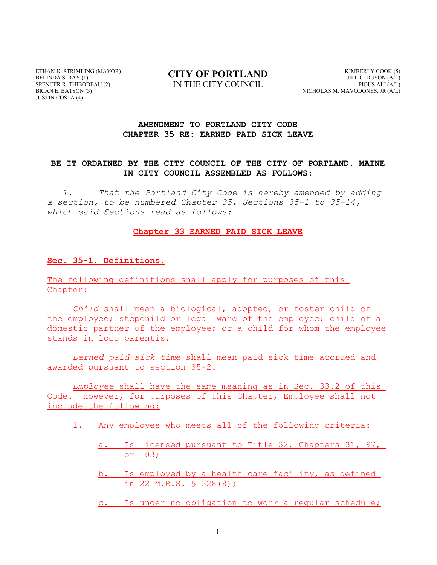ETHAN K. STRIMLING (MAYOR) BELINDA S. RAY (1) SPENCER R. THIBODEAU (2) BRIAN E. BATSON (3) JUSTIN COSTA (4)

### **CITY OF PORTLAND** IN THE CITY COUNCIL

KIMBERLY COOK (5) JILL C. DUSON (A/L) PIOUS ALI (A/L) NICHOLAS M. MAVODONES, JR (A/L)

#### **AMENDMENT TO PORTLAND CITY CODE CHAPTER 35 RE: EARNED PAID SICK LEAVE**

#### **BE IT ORDAINED BY THE CITY COUNCIL OF THE CITY OF PORTLAND, MAINE IN CITY COUNCIL ASSEMBLED AS FOLLOWS:**

*1. That the Portland City Code is hereby amended by adding a section, to be numbered Chapter 35, Sections 35-1 to 35-14, which said Sections read as follows:*

#### **Chapter 33 EARNED PAID SICK LEAVE**

#### **Sec. 35-1. Definitions.**

The following definitions shall apply for purposes of this Chapter:

*Child* shall mean a biological, adopted, or foster child of the employee; stepchild or legal ward of the employee; child of a domestic partner of the employee; or a child for whom the employee stands in loco parentis.

*Earned paid sick time* shall mean paid sick time accrued and awarded pursuant to section 35-2.

*Employee* shall have the same meaning as in Sec. 33.2 of this Code. However, for purposes of this Chapter, Employee shall not include the following:

1. Any employee who meets all of the following criteria:

- a. Is licensed pursuant to Title 32, Chapters 31, 97, or 103;
- b. Is employed by a health care facility, as defined in 22 M.R.S. § 328(8);
- c. Is under no obligation to work a regular schedule;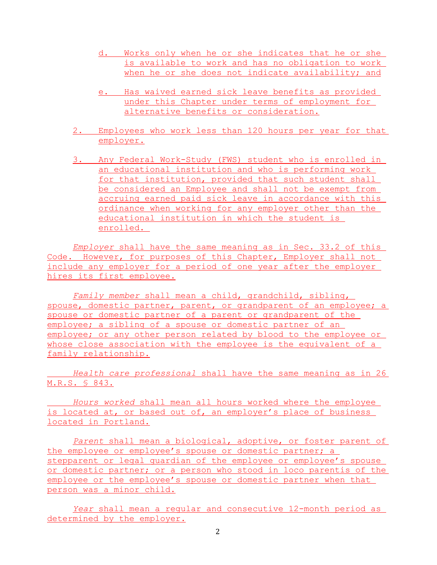- d. Works only when he or she indicates that he or she is available to work and has no obligation to work when he or she does not indicate availability; and
- e. Has waived earned sick leave benefits as provided under this Chapter under terms of employment for alternative benefits or consideration.
- 2. Employees who work less than 120 hours per year for that employer.
- 3. Any Federal Work-Study (FWS) student who is enrolled in an educational institution and who is performing work for that institution, provided that such student shall be considered an Employee and shall not be exempt from accruing earned paid sick leave in accordance with this ordinance when working for any employer other than the educational institution in which the student is enrolled.

*Employer* shall have the same meaning as in Sec. 33.2 of this Code. However, for purposes of this Chapter, Employer shall not include any employer for a period of one year after the employer hires its first employee.

*Family member* shall mean a child, grandchild, sibling, spouse, domestic partner, parent, or grandparent of an employee; a spouse or domestic partner of a parent or grandparent of the employee; a sibling of a spouse or domestic partner of an employee; or any other person related by blood to the employee or whose close association with the employee is the equivalent of a family relationship.

*Health care professional* shall have the same meaning as in 26 M.R.S. § 843.

*Hours worked* shall mean all hours worked where the employee is located at, or based out of, an employer's place of business located in Portland.

*Parent* shall mean a biological, adoptive, or foster parent of the employee or employee's spouse or domestic partner; a stepparent or legal quardian of the employee or employee's spouse or domestic partner; or a person who stood in loco parentis of the employee or the employee's spouse or domestic partner when that person was a minor child.

*Year* shall mean a regular and consecutive 12-month period as determined by the employer.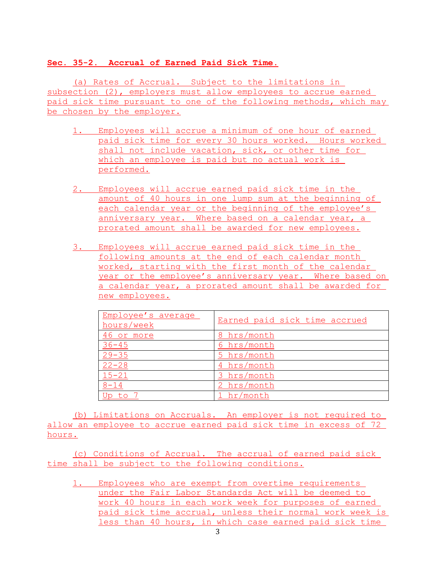### **Sec. 35-2. Accrual of Earned Paid Sick Time.**

(a) Rates of Accrual. Subject to the limitations in subsection (2), employers must allow employees to accrue earned paid sick time pursuant to one of the following methods, which may be chosen by the employer.

- 1. Employees will accrue a minimum of one hour of earned paid sick time for every 30 hours worked. Hours worked shall not include vacation, sick, or other time for which an employee is paid but no actual work is performed.
- 2. Employees will accrue earned paid sick time in the amount of 40 hours in one lump sum at the beginning of each calendar year or the beginning of the employee's anniversary year. Where based on a calendar year, a prorated amount shall be awarded for new employees.
- 3. Employees will accrue earned paid sick time in the following amounts at the end of each calendar month worked, starting with the first month of the calendar year or the employee's anniversary year. Where based on a calendar year, a prorated amount shall be awarded for new employees.

| Employee's average<br>hours/week | Earned paid sick time accrued |
|----------------------------------|-------------------------------|
| 46 or more                       | 8 hrs/month                   |
| $36 - 45$                        | 6 hrs/month                   |
| $29 - 35$                        | 5 hrs/month                   |
| $22 - 28$                        | 4 hrs/month                   |
| $15 - 21$                        | 3 hrs/month                   |
| $8 - 14$                         | 2 hrs/month                   |
| Up to                            | hr/month                      |

(b) Limitations on Accruals. An employer is not required to allow an employee to accrue earned paid sick time in excess of 72 hours.

(c) Conditions of Accrual. The accrual of earned paid sick time shall be subject to the following conditions.

1. Employees who are exempt from overtime requirements under the Fair Labor Standards Act will be deemed to work 40 hours in each work week for purposes of earned paid sick time accrual, unless their normal work week is less than 40 hours, in which case earned paid sick time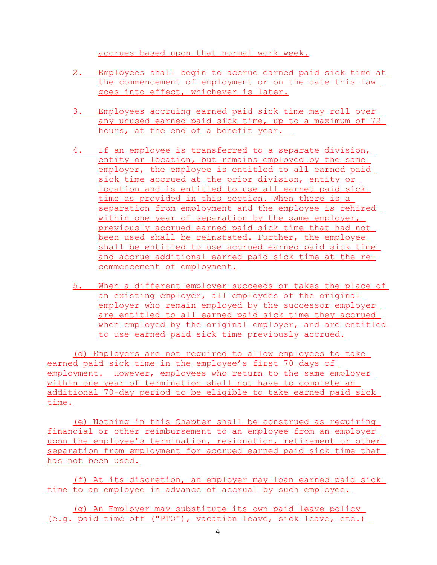accrues based upon that normal work week.

- 2. Employees shall begin to accrue earned paid sick time at the commencement of employment or on the date this law goes into effect, whichever is later.
- 3. Employees accruing earned paid sick time may roll over any unused earned paid sick time, up to a maximum of 72 hours, at the end of a benefit year.
- 4. If an employee is transferred to a separate division, entity or location, but remains employed by the same employer, the employee is entitled to all earned paid sick time accrued at the prior division, entity or location and is entitled to use all earned paid sick time as provided in this section. When there is a separation from employment and the employee is rehired within one year of separation by the same employer, previously accrued earned paid sick time that had not been used shall be reinstated. Further, the employee shall be entitled to use accrued earned paid sick time and accrue additional earned paid sick time at the recommencement of employment.
- 5. When a different employer succeeds or takes the place of an existing employer, all employees of the original employer who remain employed by the successor employer are entitled to all earned paid sick time they accrued when employed by the original employer, and are entitled to use earned paid sick time previously accrued.

(d) Employers are not required to allow employees to take earned paid sick time in the employee's first 70 days of employment. However, employees who return to the same employer within one year of termination shall not have to complete an additional 70-day period to be eligible to take earned paid sick time.

(e) Nothing in this Chapter shall be construed as requiring financial or other reimbursement to an employee from an employer upon the employee's termination, resignation, retirement or other separation from employment for accrued earned paid sick time that has not been used.

(f) At its discretion, an employer may loan earned paid sick time to an employee in advance of accrual by such employee.

(g) An Employer may substitute its own paid leave policy (e.g. paid time off ("PTO"), vacation leave, sick leave, etc.)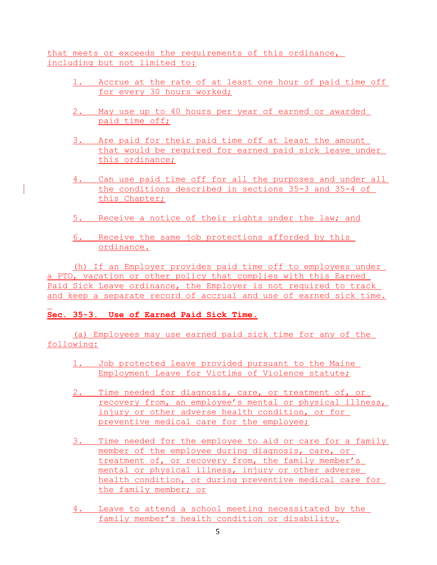that meets or exceeds the requirements of this ordinance, including but not limited to:

- 1. Accrue at the rate of at least one hour of paid time off for every 30 hours worked;
- 2. May use up to 40 hours per year of earned or awarded paid time off;
- 3. Are paid for their paid time off at least the amount that would be required for earned paid sick leave under this ordinance;
- 4. Can use paid time off for all the purposes and under all the conditions described in sections 35-3 and 35-4 of this Chapter;
- 5. Receive a notice of their rights under the law; and
- 6. Receive the same job protections afforded by this ordinance.

(h) If an Employer provides paid time off to employees under a PTO, vacation or other policy that complies with this Earned Paid Sick Leave ordinance, the Employer is not required to track and keep a separate record of accrual and use of earned sick time.

# **Sec. 35-3. Use of Earned Paid Sick Time.**

(a) Employees may use earned paid sick time for any of the following:

- 1. Job protected leave provided pursuant to the Maine Employment Leave for Victims of Violence statute;
- 2. Time needed for diagnosis, care, or treatment of, or recovery from, an employee's mental or physical illness, injury or other adverse health condition, or for preventive medical care for the employee;
- 3. Time needed for the employee to aid or care for a family member of the employee during diagnosis, care, or treatment of, or recovery from, the family member's mental or physical illness, injury or other adverse health condition, or during preventive medical care for the family member; or
- 4. Leave to attend a school meeting necessitated by the family member's health condition or disability.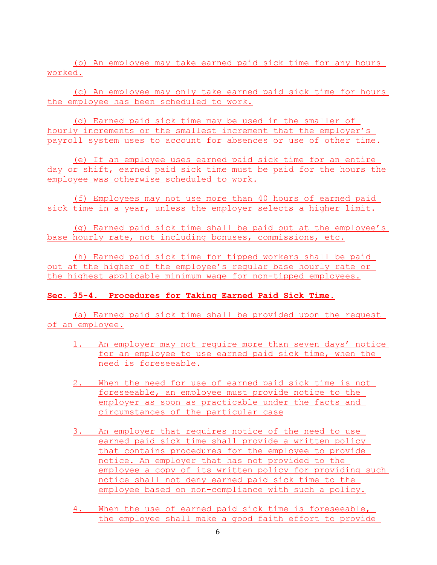(b) An employee may take earned paid sick time for any hours worked.

(c) An employee may only take earned paid sick time for hours the employee has been scheduled to work.

(d) Earned paid sick time may be used in the smaller of hourly increments or the smallest increment that the employer's payroll system uses to account for absences or use of other time.

(e) If an employee uses earned paid sick time for an entire day or shift, earned paid sick time must be paid for the hours the employee was otherwise scheduled to work.

(f) Employees may not use more than 40 hours of earned paid sick time in a year, unless the employer selects a higher limit.

(g) Earned paid sick time shall be paid out at the employee's base hourly rate, not including bonuses, commissions, etc.

(h) Earned paid sick time for tipped workers shall be paid out at the higher of the employee's regular base hourly rate or the highest applicable minimum wage for non-tipped employees.

### **Sec. 35-4. Procedures for Taking Earned Paid Sick Time.**

(a) Earned paid sick time shall be provided upon the request of an employee.

- 1. An employer may not require more than seven days' notice for an employee to use earned paid sick time, when the need is foreseeable.
- 2. When the need for use of earned paid sick time is not foreseeable, an employee must provide notice to the employer as soon as practicable under the facts and circumstances of the particular case
- 3. An employer that requires notice of the need to use earned paid sick time shall provide a written policy that contains procedures for the employee to provide notice. An employer that has not provided to the employee a copy of its written policy for providing such notice shall not deny earned paid sick time to the employee based on non-compliance with such a policy.
- 4. When the use of earned paid sick time is foreseeable, the employee shall make a good faith effort to provide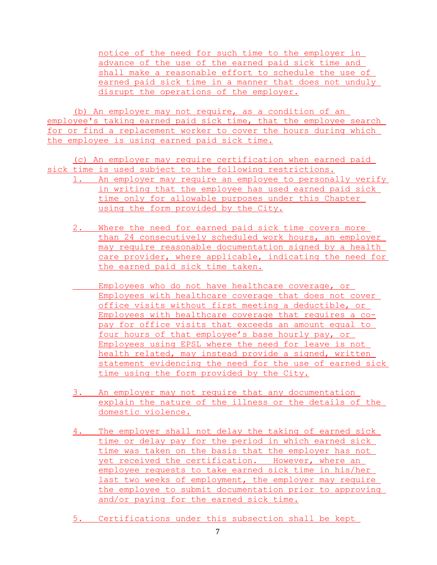notice of the need for such time to the employer in advance of the use of the earned paid sick time and shall make a reasonable effort to schedule the use of earned paid sick time in a manner that does not unduly disrupt the operations of the employer.

(b) An employer may not require, as a condition of an employee's taking earned paid sick time, that the employee search for or find a replacement worker to cover the hours during which the employee is using earned paid sick time.

(c) An employer may require certification when earned paid sick time is used subject to the following restrictions.

- 1. An employer may require an employee to personally verify in writing that the employee has used earned paid sick time only for allowable purposes under this Chapter using the form provided by the City.
	- 2. Where the need for earned paid sick time covers more than 24 consecutively scheduled work hours, an employer may require reasonable documentation signed by a health care provider, where applicable, indicating the need for the earned paid sick time taken.
		- Employees who do not have healthcare coverage, or Employees with healthcare coverage that does not cover office visits without first meeting a deductible, or Employees with healthcare coverage that requires a copay for office visits that exceeds an amount equal to four hours of that employee's base hourly pay, or Employees using EPSL where the need for leave is not health related, may instead provide a signed, written statement evidencing the need for the use of earned sick time using the form provided by the City.
	- 3. An employer may not require that any documentation explain the nature of the illness or the details of the domestic violence.
	- 4. The employer shall not delay the taking of earned sick time or delay pay for the period in which earned sick time was taken on the basis that the employer has not yet received the certification. However, where an employee requests to take earned sick time in his/her last two weeks of employment, the employer may require the employee to submit documentation prior to approving and/or paying for the earned sick time.
	- 5. Certifications under this subsection shall be kept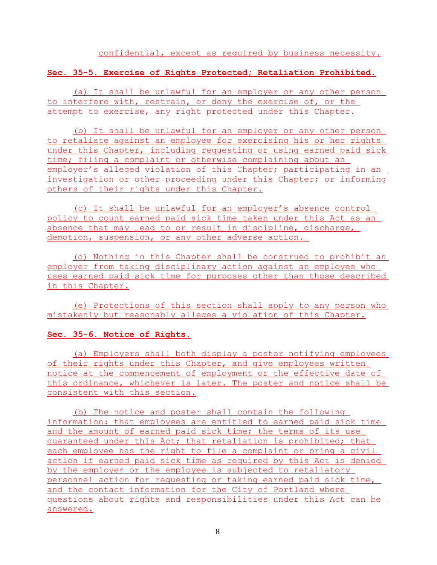### **Sec. 35-5. Exercise of Rights Protected; Retaliation Prohibited.**

(a) It shall be unlawful for an employer or any other person to interfere with, restrain, or deny the exercise of, or the attempt to exercise, any right protected under this Chapter.

(b) It shall be unlawful for an employer or any other person to retaliate against an employee for exercising his or her rights under this Chapter, including requesting or using earned paid sick time; filing a complaint or otherwise complaining about an employer's alleged violation of this Chapter; participating in an investigation or other proceeding under this Chapter; or informing others of their rights under this Chapter.

(c) It shall be unlawful for an employer's absence control policy to count earned paid sick time taken under this Act as an absence that may lead to or result in discipline, discharge, demotion, suspension, or any other adverse action.

(d) Nothing in this Chapter shall be construed to prohibit an employer from taking disciplinary action against an employee who uses earned paid sick time for purposes other than those described in this Chapter.

(e) Protections of this section shall apply to any person who mistakenly but reasonably alleges a violation of this Chapter.

#### **Sec. 35-6. Notice of Rights.**

(a) Employers shall both display a poster notifying employees of their rights under this Chapter, and give employees written notice at the commencement of employment or the effective date of this ordinance, whichever is later. The poster and notice shall be consistent with this section.

(b) The notice and poster shall contain the following information: that employees are entitled to earned paid sick time and the amount of earned paid sick time; the terms of its use guaranteed under this Act; that retaliation is prohibited; that each employee has the right to file a complaint or bring a civil action if earned paid sick time as required by this Act is denied by the employer or the employee is subjected to retaliatory personnel action for requesting or taking earned paid sick time, and the contact information for the City of Portland where questions about rights and responsibilities under this Act can be answered.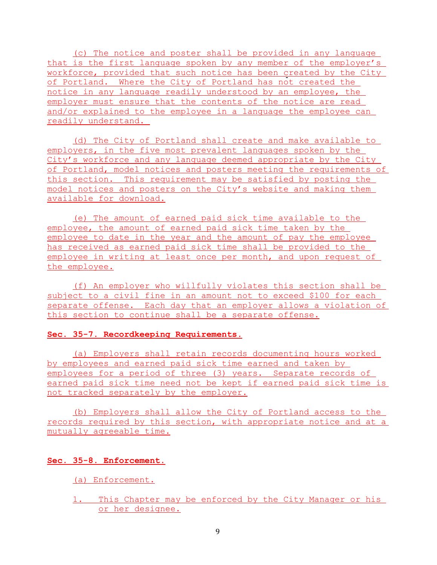(c) The notice and poster shall be provided in any language that is the first language spoken by any member of the employer's workforce, provided that such notice has been created by the City of Portland. Where the City of Portland has not created the notice in any language readily understood by an employee, the employer must ensure that the contents of the notice are read and/or explained to the employee in a language the employee can readily understand.

(d) The City of Portland shall create and make available to employers, in the five most prevalent languages spoken by the City's workforce and any language deemed appropriate by the City of Portland, model notices and posters meeting the requirements of this section. This requirement may be satisfied by posting the model notices and posters on the City's website and making them available for download.

(e) The amount of earned paid sick time available to the employee, the amount of earned paid sick time taken by the employee to date in the year and the amount of pay the employee has received as earned paid sick time shall be provided to the employee in writing at least once per month, and upon request of the employee.

(f) An employer who willfully violates this section shall be subject to a civil fine in an amount not to exceed \$100 for each separate offense. Each day that an employer allows a violation of this section to continue shall be a separate offense.

#### **Sec. 35-7. Recordkeeping Requirements.**

(a) Employers shall retain records documenting hours worked by employees and earned paid sick time earned and taken by employees for a period of three (3) years. Separate records of earned paid sick time need not be kept if earned paid sick time is not tracked separately by the employer.

(b) Employers shall allow the City of Portland access to the records required by this section, with appropriate notice and at a mutually agreeable time.

#### **Sec. 35-8. Enforcement.**

(a) Enforcement.

1. This Chapter may be enforced by the City Manager or his or her designee.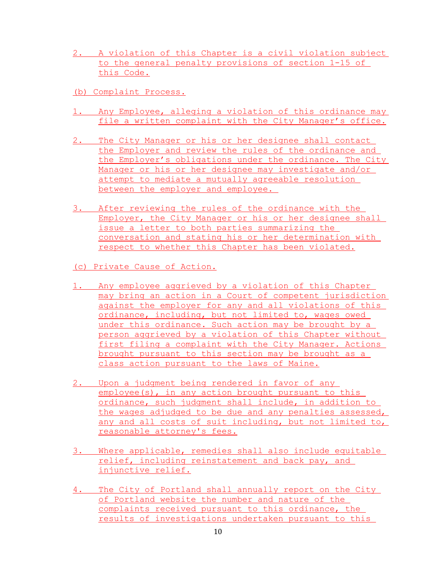- 2. A violation of this Chapter is a civil violation subject to the general penalty provisions of section 1-15 of this Code.
- (b) Complaint Process.
- 1. Any Employee, alleging a violation of this ordinance may file a written complaint with the City Manager's office.
- 2. The City Manager or his or her designee shall contact the Employer and review the rules of the ordinance and the Employer's obligations under the ordinance. The City Manager or his or her designee may investigate and/or attempt to mediate a mutually agreeable resolution between the employer and employee.
- 3. After reviewing the rules of the ordinance with the Employer, the City Manager or his or her designee shall issue a letter to both parties summarizing the conversation and stating his or her determination with respect to whether this Chapter has been violated.
- (c) Private Cause of Action.
- 1. Any employee aggrieved by a violation of this Chapter may bring an action in a Court of competent jurisdiction against the employer for any and all violations of this ordinance, including, but not limited to, wages owed under this ordinance. Such action may be brought by a person aggrieved by a violation of this Chapter without first filing a complaint with the City Manager. Actions brought pursuant to this section may be brought as a class action pursuant to the laws of Maine.
- 2. Upon a judgment being rendered in favor of any employee(s), in any action brought pursuant to this ordinance, such judgment shall include, in addition to the wages adjudged to be due and any penalties assessed, any and all costs of suit including, but not limited to, reasonable attorney's fees.
- 3. Where applicable, remedies shall also include equitable relief, including reinstatement and back pay, and injunctive relief.
- 4. The City of Portland shall annually report on the City of Portland website the number and nature of the complaints received pursuant to this ordinance, the results of investigations undertaken pursuant to this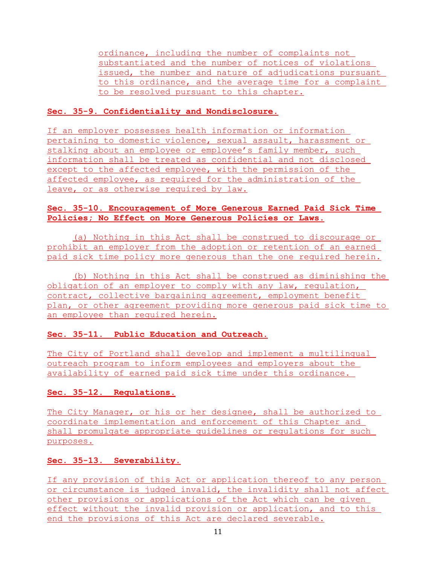ordinance, including the number of complaints not substantiated and the number of notices of violations issued, the number and nature of adjudications pursuant to this ordinance, and the average time for a complaint to be resolved pursuant to this chapter.

### **Sec. 35-9. Confidentiality and Nondisclosure.**

If an employer possesses health information or information pertaining to domestic violence, sexual assault, harassment or stalking about an employee or employee's family member, such information shall be treated as confidential and not disclosed except to the affected employee, with the permission of the affected employee, as required for the administration of the leave, or as otherwise required by law.

### **Sec. 35-10. Encouragement of More Generous Earned Paid Sick Time Policies; No Effect on More Generous Policies or Laws.**

(a) Nothing in this Act shall be construed to discourage or prohibit an employer from the adoption or retention of an earned paid sick time policy more generous than the one required herein.

(b) Nothing in this Act shall be construed as diminishing the obligation of an employer to comply with any law, regulation, contract, collective bargaining agreement, employment benefit plan, or other agreement providing more generous paid sick time to an employee than required herein.

# **Sec. 35-11. Public Education and Outreach.**

The City of Portland shall develop and implement a multilingual outreach program to inform employees and employers about the availability of earned paid sick time under this ordinance.

# **Sec. 35-12. Regulations.**

The City Manager, or his or her designee, shall be authorized to coordinate implementation and enforcement of this Chapter and shall promulgate appropriate guidelines or regulations for such purposes.

# **Sec. 35-13. Severability.**

If any provision of this Act or application thereof to any person or circumstance is judged invalid, the invalidity shall not affect other provisions or applications of the Act which can be given effect without the invalid provision or application, and to this end the provisions of this Act are declared severable.